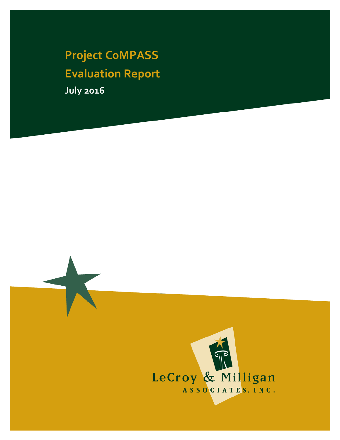**Project CoMPASS Evaluation Report July 2016**

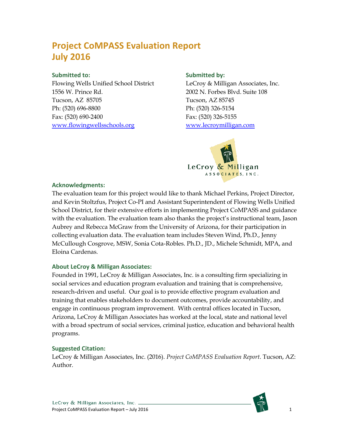### **Project CoMPASS Evaluation Report July 2016**

#### **Submitted to:**

Flowing Wells Unified School District 1556 W. Prince Rd. Tucson, AZ 85705 Ph: (520) 696-8800 Fax: (520) 690-2400 [www.flowingwellsschools.org](http://www.flowingwellsschools.org/)

#### **Submitted by:**

LeCroy & Milligan Associates, Inc. 2002 N. Forbes Blvd. Suite 108 Tucson, AZ 85745 Ph: (520) 326-5154 Fax: (520) 326-5155 [www.lecroymilligan.com](http://www.lecroymilligan.com/)



#### **Acknowledgments:**

The evaluation team for this project would like to thank Michael Perkins, Project Director, and Kevin Stoltzfus, Project Co-PI and Assistant Superintendent of Flowing Wells Unified School District, for their extensive efforts in implementing Project CoMPASS and guidance with the evaluation. The evaluation team also thanks the project's instructional team, Jason Aubrey and Rebecca McGraw from the University of Arizona, for their participation in collecting evaluation data. The evaluation team includes Steven Wind, Ph.D., Jenny McCullough Cosgrove, MSW, Sonia Cota-Robles. Ph.D., JD., Michele Schmidt, MPA, and Eloina Cardenas.

#### **About LeCroy & Milligan Associates:**

Founded in 1991, LeCroy & Milligan Associates, Inc. is a consulting firm specializing in social services and education program evaluation and training that is comprehensive, research-driven and useful. Our goal is to provide effective program evaluation and training that enables stakeholders to document outcomes, provide accountability, and engage in continuous program improvement. With central offices located in Tucson, Arizona, LeCroy & Milligan Associates has worked at the local, state and national level with a broad spectrum of social services, criminal justice, education and behavioral health programs.

#### **Suggested Citation:**

LeCroy & Milligan Associates, Inc. (2016). *Project CoMPASS Evaluation Report*. Tucson, AZ: Author.

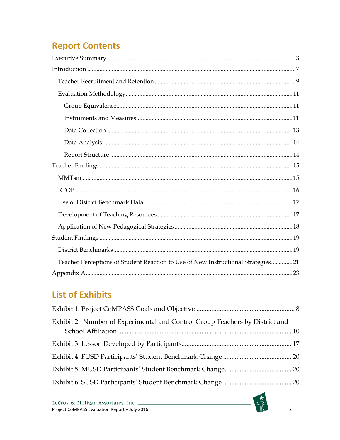# **Report Contents**

| Teacher Perceptions of Student Reaction to Use of New Instructional Strategies21 |
|----------------------------------------------------------------------------------|
|                                                                                  |

### **List of Exhibits**

| Exhibit 2. Number of Experimental and Control Group Teachers by District and |  |
|------------------------------------------------------------------------------|--|
|                                                                              |  |
|                                                                              |  |
|                                                                              |  |
|                                                                              |  |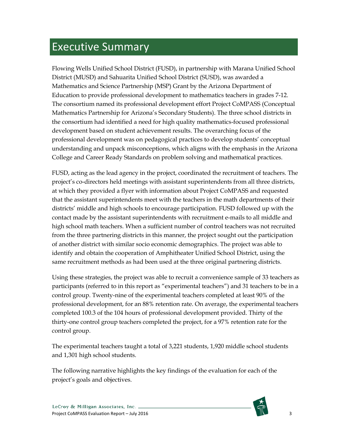# <span id="page-3-0"></span>Executive Summary

Flowing Wells Unified School District (FUSD), in partnership with Marana Unified School District (MUSD) and Sahuarita Unified School District (SUSD), was awarded a Mathematics and Science Partnership (MSP) Grant by the Arizona Department of Education to provide professional development to mathematics teachers in grades 7-12. The consortium named its professional development effort Project CoMPASS (Conceptual Mathematics Partnership for Arizona's Secondary Students). The three school districts in the consortium had identified a need for high quality mathematics-focused professional development based on student achievement results. The overarching focus of the professional development was on pedagogical practices to develop students' conceptual understanding and unpack misconceptions, which aligns with the emphasis in the Arizona College and Career Ready Standards on problem solving and mathematical practices.

FUSD, acting as the lead agency in the project, coordinated the recruitment of teachers. The project's co-directors held meetings with assistant superintendents from all three districts, at which they provided a flyer with information about Project CoMPASS and requested that the assistant superintendents meet with the teachers in the math departments of their districts' middle and high schools to encourage participation. FUSD followed up with the contact made by the assistant superintendents with recruitment e-mails to all middle and high school math teachers. When a sufficient number of control teachers was not recruited from the three partnering districts in this manner, the project sought out the participation of another district with similar socio economic demographics. The project was able to identify and obtain the cooperation of Amphitheater Unified School District, using the same recruitment methods as had been used at the three original partnering districts.

Using these strategies, the project was able to recruit a convenience sample of 33 teachers as participants (referred to in this report as "experimental teachers") and 31 teachers to be in a control group. Twenty-nine of the experimental teachers completed at least 90% of the professional development, for an 88% retention rate. On average, the experimental teachers completed 100.3 of the 104 hours of professional development provided. Thirty of the thirty-one control group teachers completed the project, for a 97% retention rate for the control group.

The experimental teachers taught a total of 3,221 students, 1,920 middle school students and 1,301 high school students.

The following narrative highlights the key findings of the evaluation for each of the project's goals and objectives.

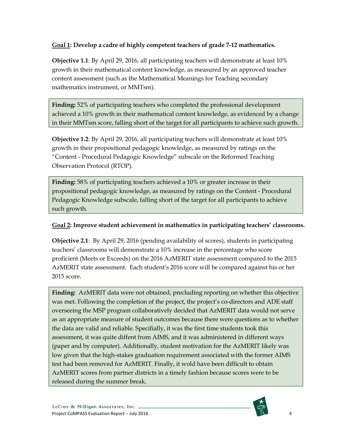#### **Goal 1: Develop a cadre of highly competent teachers of grade 7-12 mathematics.**

**Objective 1.1**: By April 29, 2016, all participating teachers will demonstrate at least 10% growth in their mathematical content knowledge, as measured by an approved teacher content assessment (such as the Mathematical Meanings for Teaching secondary mathematics instrument, or MMTsm).

**Finding:** 52% of participating teachers who completed the professional development achieved a 10% growth in their mathematical content knowledge, as evidenced by a change in their MMTsm score, falling short of the target for all participants to achieve such growth.

**Objective 1.2**: By April 29, 2016, all participating teachers will demonstrate at least 10% growth in their propositional pedagogic knowledge, as measured by ratings on the "Content - Procedural Pedagogic Knowledge" subscale on the Reformed Teaching Observation Protocol (RTOP).

**Finding:** 58% of participating teachers achieved a 10% or greater increase in their propositional pedagogic knowledge, as measured by ratings on the Content - Procedural Pedagogic Knowledge subscale, falling short of the target for all participants to achieve such growth.

#### **Goal 2: Improve student achievement in mathematics in participating teachers' classrooms.**

**Objective 2.1**: By April 29, 2016 (pending availability of scores), students in participating teachers' classrooms will demonstrate a 10% increase in the percentage who score proficient (Meets or Exceeds) on the 2016 AzMERIT state assessment compared to the 2015 AzMERIT state assessment. Each student's 2016 score will be compared against his or her 2015 score.

**Finding:** AzMERIT data were not obtained, precluding reporting on whether this objective was met. Following the completion of the project, the project's co-directors and ADE staff overseeing the MSP program collaboratively decided that AzMERIT data would not serve as an appropriate measure of student outcomes because there were questions as to whether the data are valid and reliable. Specifially, it was the first time students took this assessment, it was quite diffent from AIMS, and it was administered in different ways (paper and by computer). Additionally, student motivation for the AzMERIT likely was low given that the high-stakes graduation requirement associated with the former AIMS test had been removed for AzMERIT. Finally, it wold have been difficult to obtain AzMERIT scores from partner districts in a timely fashion because scores were to be released during the summer break.

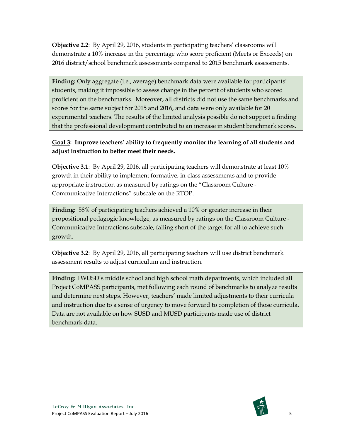**Objective 2.2**: By April 29, 2016, students in participating teachers' classrooms will demonstrate a 10% increase in the percentage who score proficient (Meets or Exceeds) on 2016 district/school benchmark assessments compared to 2015 benchmark assessments.

**Finding:** Only aggregate (i.e., average) benchmark data were available for participants' students, making it impossible to assess change in the percent of students who scored proficient on the benchmarks. Moreover, all districts did not use the same benchmarks and scores for the same subject for 2015 and 2016, and data were only available for 20 experimental teachers. The results of the limited analysis possible do not support a finding that the professional development contributed to an increase in student benchmark scores.

#### **Goal 3: Improve teachers' ability to frequently monitor the learning of all students and adjust instruction to better meet their needs.**

**Objective 3.1**: By April 29, 2016, all participating teachers will demonstrate at least 10% growth in their ability to implement formative, in-class assessments and to provide appropriate instruction as measured by ratings on the "Classroom Culture - Communicative Interactions" subscale on the RTOP.

**Finding:** 58% of participating teachers achieved a 10% or greater increase in their propositional pedagogic knowledge, as measured by ratings on the Classroom Culture - Communicative Interactions subscale, falling short of the target for all to achieve such growth.

**Objective 3.2**: By April 29, 2016, all participating teachers will use district benchmark assessment results to adjust curriculum and instruction.

**Finding:** FWUSD's middle school and high school math departments, which included all Project CoMPASS participants, met following each round of benchmarks to analyze results and determine next steps. However, teachers' made limited adjustments to their curricula and instruction due to a sense of urgency to move forward to completion of those curricula. Data are not available on how SUSD and MUSD participants made use of district benchmark data.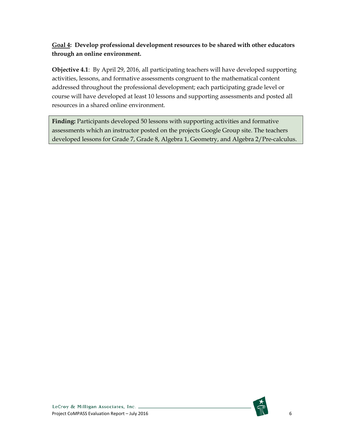#### **Goal 4: Develop professional development resources to be shared with other educators through an online environment.**

**Objective 4.1**: By April 29, 2016, all participating teachers will have developed supporting activities, lessons, and formative assessments congruent to the mathematical content addressed throughout the professional development; each participating grade level or course will have developed at least 10 lessons and supporting assessments and posted all resources in a shared online environment.

**Finding:** Participants developed 50 lessons with supporting activities and formative assessments which an instructor posted on the projects Google Group site. The teachers developed lessons for Grade 7, Grade 8, Algebra 1, Geometry, and Algebra 2/Pre-calculus.

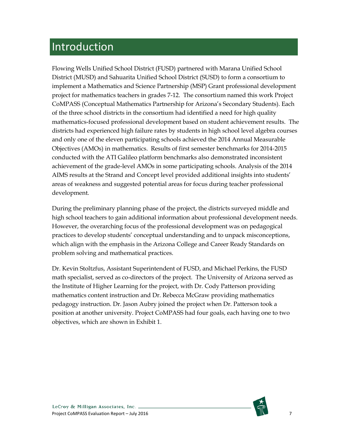# <span id="page-7-0"></span>Introduction

Flowing Wells Unified School District (FUSD) partnered with Marana Unified School District (MUSD) and Sahuarita Unified School District (SUSD) to form a consortium to implement a Mathematics and Science Partnership (MSP) Grant professional development project for mathematics teachers in grades 7-12. The consortium named this work Project CoMPASS (Conceptual Mathematics Partnership for Arizona's Secondary Students). Each of the three school districts in the consortium had identified a need for high quality mathematics-focused professional development based on student achievement results. The districts had experienced high failure rates by students in high school level algebra courses and only one of the eleven participating schools achieved the 2014 Annual Measurable Objectives (AMOs) in mathematics. Results of first semester benchmarks for 2014-2015 conducted with the ATI Galileo platform benchmarks also demonstrated inconsistent achievement of the grade-level AMOs in some participating schools. Analysis of the 2014 AIMS results at the Strand and Concept level provided additional insights into students' areas of weakness and suggested potential areas for focus during teacher professional development.

During the preliminary planning phase of the project, the districts surveyed middle and high school teachers to gain additional information about professional development needs. However, the overarching focus of the professional development was on pedagogical practices to develop students' conceptual understanding and to unpack misconceptions, which align with the emphasis in the Arizona College and Career Ready Standards on problem solving and mathematical practices.

Dr. Kevin Stoltzfus, Assistant Superintendent of FUSD, and Michael Perkins, the FUSD math specialist, served as co-directors of the project. The University of Arizona served as the Institute of Higher Learning for the project, with Dr. Cody Patterson providing mathematics content instruction and Dr. Rebecca McGraw providing mathematics pedagogy instruction. Dr. Jason Aubry joined the project when Dr. Patterson took a position at another university. Project CoMPASS had four goals, each having one to two objectives, which are shown in Exhibit 1.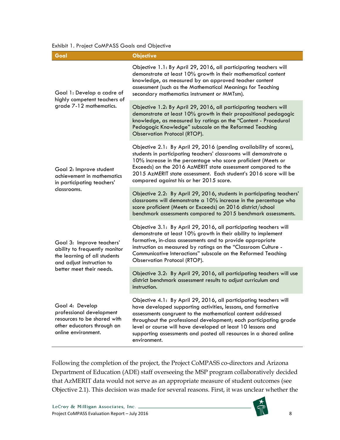<span id="page-8-0"></span>Exhibit 1. Project CoMPASS Goals and Objective

| Goal                                                                                                                                                | <b>Objective</b>                                                                                                                                                                                                                                                                                                                                                                                                           |
|-----------------------------------------------------------------------------------------------------------------------------------------------------|----------------------------------------------------------------------------------------------------------------------------------------------------------------------------------------------------------------------------------------------------------------------------------------------------------------------------------------------------------------------------------------------------------------------------|
| Goal 1: Develop a cadre of<br>highly competent teachers of<br>grade 7-12 mathematics.                                                               | Objective 1.1: By April 29, 2016, all participating teachers will<br>demonstrate at least 10% growth in their mathematical content<br>knowledge, as measured by an approved teacher content<br>assessment (such as the Mathematical Meanings for Teaching<br>secondary mathematics instrument or MMTsm).                                                                                                                   |
|                                                                                                                                                     | Objective 1.2: By April 29, 2016, all participating teachers will<br>demonstrate at least 10% growth in their propositional pedagogic<br>knowledge, as measured by ratings on the "Content - Procedural<br>Pedagogic Knowledge" subscale on the Reformed Teaching<br>Observation Protocol (RTOP).                                                                                                                          |
| Goal 2: Improve student<br>achievement in mathematics<br>in participating teachers'<br>classrooms.                                                  | Objective 2.1: By April 29, 2016 (pending availability of scores),<br>students in participating teachers' classrooms will demonstrate a<br>10% increase in the percentage who score proficient (Meets or<br>Exceeds) on the 2016 AzMERIT state assessment compared to the<br>2015 AzMERIT state assessment. Each student's 2016 score will be<br>compared against his or her 2015 score.                                   |
|                                                                                                                                                     | Objective 2.2: By April 29, 2016, students in participating teachers'<br>classrooms will demonstrate a 10% increase in the percentage who<br>score proficient (Meets or Exceeds) on 2016 district/school<br>benchmark assessments compared to 2015 benchmark assessments.                                                                                                                                                  |
| Goal 3: Improve teachers'<br>ability to frequently monitor<br>the learning of all students<br>and adjust instruction to<br>better meet their needs. | Objective 3.1: By April 29, 2016, all participating teachers will<br>demonstrate at least 10% growth in their ability to implement<br>formative, in-class assessments and to provide appropriate<br>instruction as measured by ratings on the "Classroom Culture -<br>Communicative Interactions" subscale on the Reformed Teaching<br><b>Observation Protocol (RTOP).</b>                                                 |
|                                                                                                                                                     | Objective 3.2: By April 29, 2016, all participating teachers will use<br>district benchmark assessment results to adjust curriculum and<br>instruction.                                                                                                                                                                                                                                                                    |
| Goal 4: Develop<br>professional development<br>resources to be shared with<br>other educators through an<br>online environment.                     | Objective 4.1: By April 29, 2016, all participating teachers will<br>have developed supporting activities, lessons, and formative<br>assessments congruent to the mathematical content addressed<br>throughout the professional development; each participating grade<br>level or course will have developed at least 10 lessons and<br>supporting assessments and posted all resources in a shared online<br>environment. |

Following the completion of the project, the Project CoMPASS co-directors and Arizona Department of Education (ADE) staff overseeing the MSP program collaboratively decided that AzMERIT data would not serve as an appropriate measure of student outcomes (see Objective 2.1). This decision was made for several reasons. First, it was unclear whether the

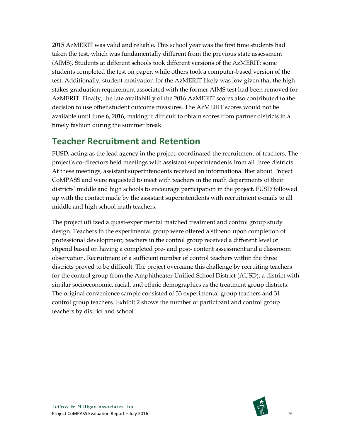2015 AzMERIT was valid and reliable. This school year was the first time students had taken the test, which was fundamentally different from the previous state assessment (AIMS). Students at different schools took different versions of the AzMERIT: some students completed the test on paper, while others took a computer-based version of the test. Additionally, student motivation for the AzMERIT likely was low given that the highstakes graduation requirement associated with the former AIMS test had been removed for AzMERIT. Finally, the late availability of the 2016 AzMERIT scores also contributed to the decision to use other student outcome measures. The AzMERIT scores would not be available until June 6, 2016, making it difficult to obtain scores from partner districts in a timely fashion during the summer break.

### <span id="page-9-0"></span>**Teacher Recruitment and Retention**

FUSD, acting as the lead agency in the project, coordinated the recruitment of teachers. The project's co-directors held meetings with assistant superintendents from all three districts. At these meetings, assistant superintendents received an informational flier about Project CoMPASS and were requested to meet with teachers in the math departments of their districts' middle and high schools to encourage participation in the project. FUSD followed up with the contact made by the assistant superintendents with recruitment e-mails to all middle and high school math teachers.

The project utilized a quasi-experimental matched treatment and control group study design. Teachers in the experimental group were offered a stipend upon completion of professional development; teachers in the control group received a different level of stipend based on having a completed pre- and post- content assessment and a classroom observation. Recruitment of a sufficient number of control teachers within the three districts proved to be difficult. The project overcame this challenge by recruiting teachers for the control group from the Amphitheater Unified School District (AUSD), a district with similar socioeconomic, racial, and ethnic demographics as the treatment group districts. The original convenience sample consisted of 33 experimental group teachers and 31 control group teachers. Exhibit 2 shows the number of participant and control group teachers by district and school.

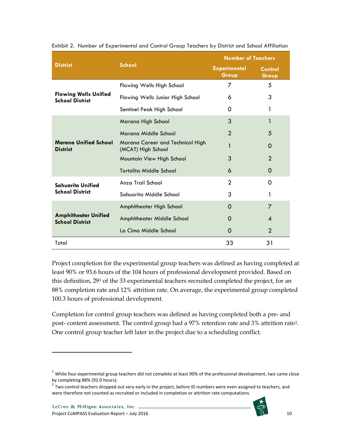|                                                        | <b>School</b>                                          | <b>Number of Teachers</b>    |                  |
|--------------------------------------------------------|--------------------------------------------------------|------------------------------|------------------|
| <b>District</b>                                        |                                                        | <b>Experimental</b><br>Group | Control<br>Group |
|                                                        | Flowing Wells High School                              | 7                            | 5                |
| <b>Flowing Wells Unified</b><br><b>School District</b> | Flowing Wells Junior High School                       | 6                            | 3                |
|                                                        | Sentinel Peak High School                              | 0                            | 1                |
|                                                        | Marana High School                                     | 3                            | 1                |
|                                                        | Marana Middle School                                   | 2                            | 5                |
| <b>Marana Unified School</b><br><b>District</b>        | Marana Career and Technical High<br>(MCAT) High School |                              | 0                |
|                                                        | Mountain View High School                              | 3                            | $\overline{2}$   |
|                                                        | Tortolita Middle School                                | 6                            | 0                |
| Sahuarita Unified                                      | Anza Trail School                                      | $\overline{2}$               | O                |
| <b>School District</b>                                 | Sahuarita Middle School                                | 3                            | 1                |
|                                                        | Amphitheater High School                               | 0                            | 7                |
| <b>Amphitheater Unified</b><br><b>School District</b>  | Amphitheater Middle School                             | 0                            | 4                |
|                                                        | La Cima Middle School                                  | 0                            | $\overline{2}$   |
| Total                                                  |                                                        | 33                           | 31               |

<span id="page-10-0"></span>Exhibit 2. Number of Experimental and Control Group Teachers by District and School Affiliation

Project completion for the experimental group teachers was defined as having completed at least 90% or 93.6 hours of the 104 hours of professional development provided. Based on this definition, 29[1](#page-10-1) of the 33 experimental teachers recruited completed the project, for an 88% completion rate and 12% attrition rate. On average, the experimental group completed 100.3 hours of professional development.

Completion for control group teachers was defined as having completed both a pre- and post- content assessment. The control group had a 97% retention rate and 3% attrition rate[2](#page-10-2). One control group teacher left later in the project due to a scheduling conflict.

 $\overline{a}$ 



<span id="page-10-1"></span> $1$  While four experimental group teachers did not complete at least 90% of the professional development, two came close by completing 88% (92.0 hours).

<span id="page-10-2"></span><sup>2</sup> Two control teachers dropped out very early in the project, before ID numbers were even assigned to teachers, and were therefore not counted as recruited or included in completion or attrition rate computations.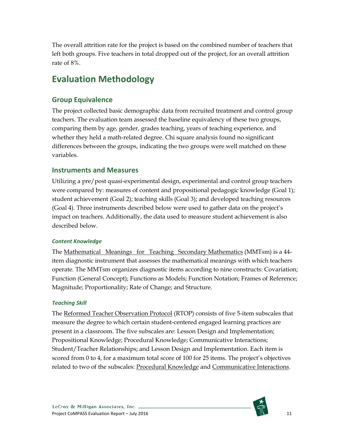The overall attrition rate for the project is based on the combined number of teachers that left both groups. Five teachers in total dropped out of the project, for an overall attrition rate of 8%.

### <span id="page-11-0"></span>**Evaluation Methodology**

#### <span id="page-11-1"></span>**Group Equivalence**

The project collected basic demographic data from recruited treatment and control group teachers. The evaluation team assessed the baseline equivalency of these two groups, comparing them by age, gender, grades teaching, years of teaching experience, and whether they held a math-related degree. Chi square analysis found no significant differences between the groups, indicating the two groups were well matched on these variables.

#### <span id="page-11-2"></span>**Instruments and Measures**

Utilizing a pre/post quasi-experimental design, experimental and control group teachers were compared by: measures of content and propositional pedagogic knowledge (Goal 1); student achievement (Goal 2); teaching skills (Goal 3); and developed teaching resources (Goal 4). Three instruments described below were used to gather data on the project's impact on teachers. Additionally, the data used to measure student achievement is also described below.

#### *Content Knowledge*

The Mathematical Meanings for Teaching Secondary Mathematics (MMTsm) is a 44 item diagnostic instrument that assesses the mathematical meanings with which teachers operate. The MMTsm organizes diagnostic items according to nine constructs: Covariation; Function (General Concept); Functions as Models; Function Notation; Frames of Reference; Magnitude; Proportionality; Rate of Change; and Structure.

#### *Teaching Skill*

The Reformed Teacher Observation Protocol (RTOP) consists of five 5-item subscales that measure the degree to which certain student-centered engaged learning practices are present in a classroom. The five subscales are: Lesson Design and Implementation; Propositional Knowledge; Procedural Knowledge; Communicative Interactions; Student/Teacher Relationships; and Lesson Design and Implementation. Each item is scored from 0 to 4, for a maximum total score of 100 for 25 items. The project's objectives related to two of the subscales: Procedural Knowledge and Communicative Interactions.

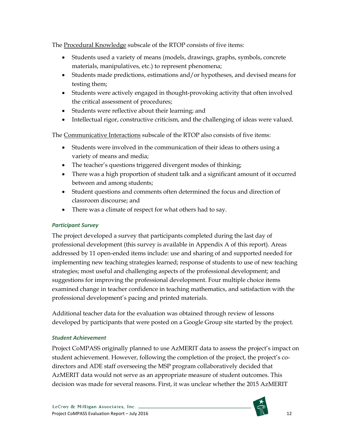The Procedural Knowledge subscale of the RTOP consists of five items:

- Students used a variety of means (models, drawings, graphs, symbols, concrete materials, manipulatives, etc.) to represent phenomena;
- Students made predictions, estimations and/or hypotheses, and devised means for testing them;
- Students were actively engaged in thought-provoking activity that often involved the critical assessment of procedures;
- Students were reflective about their learning; and
- Intellectual rigor, constructive criticism, and the challenging of ideas were valued.

The Communicative Interactions subscale of the RTOP also consists of five items:

- Students were involved in the communication of their ideas to others using a variety of means and media;
- The teacher's questions triggered divergent modes of thinking;
- There was a high proportion of student talk and a significant amount of it occurred between and among students;
- Student questions and comments often determined the focus and direction of classroom discourse; and
- There was a climate of respect for what others had to say.

#### *Participant Survey*

The project developed a survey that participants completed during the last day of professional development (this survey is available in Appendix A of this report). Areas addressed by 11 open-ended items include: use and sharing of and supported needed for implementing new teaching strategies learned; response of students to use of new teaching strategies; most useful and challenging aspects of the professional development; and suggestions for improving the professional development. Four multiple choice items examined change in teacher confidence in teaching mathematics, and satisfaction with the professional development's pacing and printed materials.

Additional teacher data for the evaluation was obtained through review of lessons developed by participants that were posted on a Google Group site started by the project.

#### *Student Achievement*

Project CoMPASS originally planned to use AzMERIT data to assess the project's impact on student achievement. However, following the completion of the project, the project's codirectors and ADE staff overseeing the MSP program collaboratively decided that AzMERIT data would not serve as an appropriate measure of student outcomes. This decision was made for several reasons. First, it was unclear whether the 2015 AzMERIT

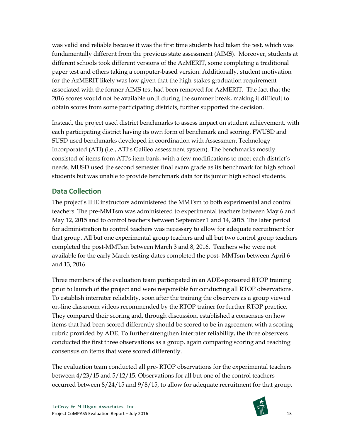was valid and reliable because it was the first time students had taken the test, which was fundamentally different from the previous state assessment (AIMS). Moreover, students at different schools took different versions of the AzMERIT, some completing a traditional paper test and others taking a computer-based version. Additionally, student motivation for the AzMERIT likely was low given that the high-stakes graduation requirement associated with the former AIMS test had been removed for AzMERIT. The fact that the 2016 scores would not be available until during the summer break, making it difficult to obtain scores from some participating districts, further supported the decision.

Instead, the project used district benchmarks to assess impact on student achievement, with each participating district having its own form of benchmark and scoring. FWUSD and SUSD used benchmarks developed in coordination with Assessment Technology Incorporated (ATI) (i.e., ATI's Galileo assessment system). The benchmarks mostly consisted of items from ATI's item bank, with a few modifications to meet each district's needs. MUSD used the second semester final exam grade as its benchmark for high school students but was unable to provide benchmark data for its junior high school students.

#### <span id="page-13-0"></span>**Data Collection**

The project's IHE instructors administered the MMTsm to both experimental and control teachers. The pre-MMTsm was administered to experimental teachers between May 6 and May 12, 2015 and to control teachers between September 1 and 14, 2015. The later period for administration to control teachers was necessary to allow for adequate recruitment for that group. All but one experimental group teachers and all but two control group teachers completed the post-MMTsm between March 3 and 8, 2016. Teachers who were not available for the early March testing dates completed the post- MMTsm between April 6 and 13, 2016.

Three members of the evaluation team participated in an ADE-sponsored RTOP training prior to launch of the project and were responsible for conducting all RTOP observations. To establish interrater reliability, soon after the training the observers as a group viewed on-line classroom videos recommended by the RTOP trainer for further RTOP practice. They compared their scoring and, through discussion, established a consensus on how items that had been scored differently should be scored to be in agreement with a scoring rubric provided by ADE. To further strengthen interrater reliability, the three observers conducted the first three observations as a group, again comparing scoring and reaching consensus on items that were scored differently.

The evaluation team conducted all pre- RTOP observations for the experimental teachers between 4/23/15 and 5/12/15. Observations for all but one of the control teachers occurred between 8/24/15 and 9/8/15, to allow for adequate recruitment for that group.

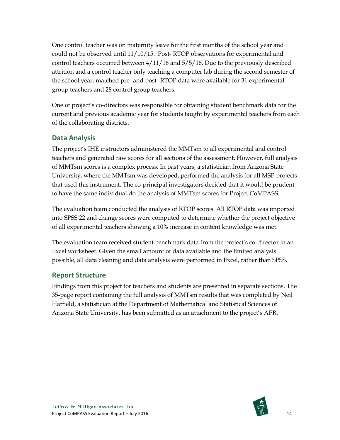One control teacher was on maternity leave for the first months of the school year and could not be observed until 11/10/15. Post- RTOP observations for experimental and control teachers occurred between 4/11/16 and 5/5/16. Due to the previously described attrition and a control teacher only teaching a computer lab during the second semester of the school year, matched pre- and post- RTOP data were available for 31 experimental group teachers and 28 control group teachers.

One of project's co-directors was responsible for obtaining student benchmark data for the current and previous academic year for students taught by experimental teachers from each of the collaborating districts.

#### <span id="page-14-0"></span>**Data Analysis**

The project's IHE instructors administered the MMTsm to all experimental and control teachers and generated raw scores for all sections of the assessment. However, full analysis of MMTsm scores is a complex process. In past years, a statistician from Arizona State University, where the MMTsm was developed, performed the analysis for all MSP projects that used this instrument. The co-principal investigators decided that it would be prudent to have the same individual do the analysis of MMTsm scores for Project CoMPASS.

The evaluation team conducted the analysis of RTOP scores. All RTOP data was imported into SPSS 22 and change scores were computed to determine whether the project objective of all experimental teachers showing a 10% increase in content knowledge was met.

The evaluation team received student benchmark data from the project's co-director in an Excel worksheet. Given the small amount of data available and the limited analysis possible, all data cleaning and data analysis were performed in Excel, rather than SPSS.

#### <span id="page-14-1"></span>**Report Structure**

Findings from this project for teachers and students are presented in separate sections. The 35-page report containing the full analysis of MMTsm results that was completed by Neil Hatfield, a statistician at the Department of Mathematical and Statistical Sciences of Arizona State University, has been submitted as an attachment to the project's APR.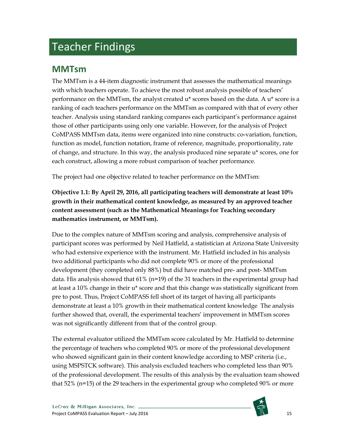# <span id="page-15-0"></span>Teacher Findings

### <span id="page-15-1"></span>**MMTsm**

The MMTsm is a 44-item diagnostic instrument that assesses the mathematical meanings with which teachers operate. To achieve the most robust analysis possible of teachers' performance on the MMTsm, the analyst created  $u^*$  scores based on the data. A  $u^*$  score is a ranking of each teachers performance on the MMTsm as compared with that of every other teacher. Analysis using standard ranking compares each participant's performance against those of other participants using only one variable. However, for the analysis of Project CoMPASS MMTsm data, items were organized into nine constructs: co-variation, function, function as model, function notation, frame of reference, magnitude, proportionality, rate of change, and structure. In this way, the analysis produced nine separate u\* scores, one for each construct, allowing a more robust comparison of teacher performance.

The project had one objective related to teacher performance on the MMTsm:

**Objective 1.1: By April 29, 2016, all participating teachers will demonstrate at least 10% growth in their mathematical content knowledge, as measured by an approved teacher content assessment (such as the Mathematical Meanings for Teaching secondary mathematics instrument, or MMTsm).**

Due to the complex nature of MMTsm scoring and analysis, comprehensive analysis of participant scores was performed by Neil Hatfield, a statistician at Arizona State University who had extensive experience with the instrument. Mr. Hatfield included in his analysis two additional participants who did not complete 90% or more of the professional development (they completed only 88%) but did have matched pre- and post- MMTsm data. His analysis showed that 61% (n=19) of the 31 teachers in the experimental group had at least a 10% change in their u\* score and that this change was statistically significant from pre to post. Thus, Project CoMPASS fell short of its target of having all participants demonstrate at least a 10% growth in their mathematical content knowledge The analysis further showed that, overall, the experimental teachers' improvement in MMTsm scores was not significantly different from that of the control group.

The external evaluator utilized the MMTsm score calculated by Mr. Hatfield to determine the percentage of teachers who completed 90% or more of the professional development who showed significant gain in their content knowledge according to MSP criteria (i.e., using MSPSTCK software). This analysis excluded teachers who completed less than 90% of the professional development. The results of this analysis by the evaluation team showed that 52% (n=15) of the 29 teachers in the experimental group who completed 90% or more

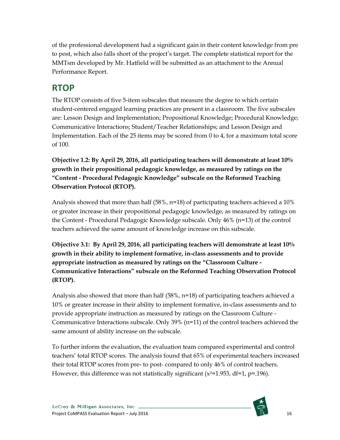of the professional development had a significant gain in their content knowledge from pre to post, which also falls short of the project's target. The complete statistical report for the MMTsm developed by Mr. Hatfield will be submitted as an attachment to the Annual Performance Report.

### <span id="page-16-0"></span>**RTOP**

The RTOP consists of five 5-item subscales that measure the degree to which certain student-centered engaged learning practices are present in a classroom. The five subscales are: Lesson Design and Implementation; Propositional Knowledge; Procedural Knowledge; Communicative Interactions; Student/Teacher Relationships; and Lesson Design and Implementation. Each of the 25 items may be scored from 0 to 4, for a maximum total score of 100.

**Objective 1.2: By April 29, 2016, all participating teachers will demonstrate at least 10% growth in their propositional pedagogic knowledge, as measured by ratings on the "Content - Procedural Pedagogic Knowledge" subscale on the Reformed Teaching Observation Protocol (RTOP).**

Analysis showed that more than half  $(58\%, n=18)$  of participating teachers achieved a 10% or greater increase in their propositional pedagogic knowledge, as measured by ratings on the Content - Procedural Pedagogic Knowledge subscale. Only 46% (n=13) of the control teachers achieved the same amount of knowledge increase on this subscale.

**Objective 3.1: By April 29, 2016, all participating teachers will demonstrate at least 10% growth in their ability to implement formative, in-class assessments and to provide appropriate instruction as measured by ratings on the "Classroom Culture - Communicative Interactions" subscale on the Reformed Teaching Observation Protocol (RTOP).**

Analysis also showed that more than half (58%, n=18) of participating teachers achieved a 10% or greater increase in their ability to implement formative, in-class assessments and to provide appropriate instruction as measured by ratings on the Classroom Culture - Communicative Interactions subscale. Only 39% (n=11) of the control teachers achieved the same amount of ability increase on the subscale.

To further inform the evaluation, the evaluation team compared experimental and control teachers' total RTOP scores. The analysis found that 65% of experimental teachers increased their total RTOP scores from pre- to post- compared to only 46% of control teachers. However, this difference was not statistically significant  $(x^{2}=1.953, df=1, p=196)$ .

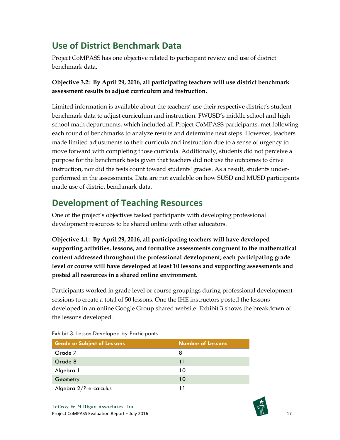### <span id="page-17-0"></span>**Use of District Benchmark Data**

Project CoMPASS has one objective related to participant review and use of district benchmark data.

#### **Objective 3.2: By April 29, 2016, all participating teachers will use district benchmark assessment results to adjust curriculum and instruction.**

Limited information is available about the teachers' use their respective district's student benchmark data to adjust curriculum and instruction. FWUSD's middle school and high school math departments, which included all Project CoMPASS participants, met following each round of benchmarks to analyze results and determine next steps. However, teachers made limited adjustments to their curricula and instruction due to a sense of urgency to move forward with completing those curricula. Additionally, students did not perceive a purpose for the benchmark tests given that teachers did not use the outcomes to drive instruction, nor did the tests count toward students' grades. As a result, students underperformed in the assessments. Data are not available on how SUSD and MUSD participants made use of district benchmark data.

### <span id="page-17-1"></span>**Development of Teaching Resources**

One of the project's objectives tasked participants with developing professional development resources to be shared online with other educators.

**Objective 4.1: By April 29, 2016, all participating teachers will have developed supporting activities, lessons, and formative assessments congruent to the mathematical content addressed throughout the professional development; each participating grade level or course will have developed at least 10 lessons and supporting assessments and posted all resources in a shared online environment.**

Participants worked in grade level or course groupings during professional development sessions to create a total of 50 lessons. One the IHE instructors posted the lessons developed in an online Google Group shared website. Exhibit 3 shows the breakdown of the lessons developed.

| <b>Grade or Subject of Lessons</b> | <b>Number of Lessons</b> |
|------------------------------------|--------------------------|
| Grade 7                            | 8                        |
| Grade 8                            | 11                       |
| Algebra 1                          | 10                       |
| Geometry                           | 10                       |
| Algebra 2/Pre-calculus             | 11                       |

<span id="page-17-2"></span>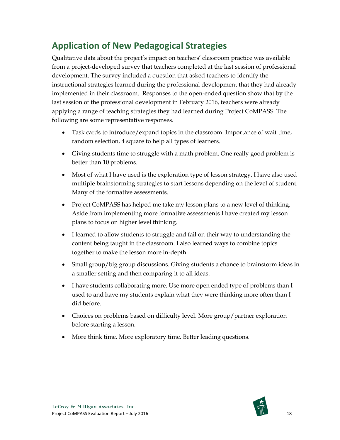### <span id="page-18-0"></span>**Application of New Pedagogical Strategies**

Qualitative data about the project's impact on teachers' classroom practice was available from a project-developed survey that teachers completed at the last session of professional development. The survey included a question that asked teachers to identify the instructional strategies learned during the professional development that they had already implemented in their classroom. Responses to the open-ended question show that by the last session of the professional development in February 2016, teachers were already applying a range of teaching strategies they had learned during Project CoMPASS. The following are some representative responses.

- Task cards to introduce/expand topics in the classroom. Importance of wait time, random selection, 4 square to help all types of learners.
- Giving students time to struggle with a math problem. One really good problem is better than 10 problems.
- Most of what I have used is the exploration type of lesson strategy. I have also used multiple brainstorming strategies to start lessons depending on the level of student. Many of the formative assessments.
- Project CoMPASS has helped me take my lesson plans to a new level of thinking. Aside from implementing more formative assessments I have created my lesson plans to focus on higher level thinking.
- I learned to allow students to struggle and fail on their way to understanding the content being taught in the classroom. I also learned ways to combine topics together to make the lesson more in-depth.
- Small group/big group discussions. Giving students a chance to brainstorm ideas in a smaller setting and then comparing it to all ideas.
- I have students collaborating more. Use more open ended type of problems than I used to and have my students explain what they were thinking more often than I did before.
- Choices on problems based on difficulty level. More group/partner exploration before starting a lesson.
- More think time. More exploratory time. Better leading questions.

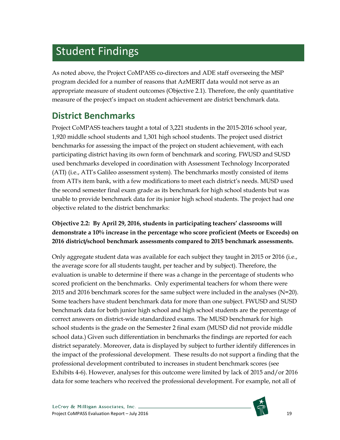# <span id="page-19-0"></span>Student Findings

As noted above, the Project CoMPASS co-directors and ADE staff overseeing the MSP program decided for a number of reasons that AzMERIT data would not serve as an appropriate measure of student outcomes (Objective 2.1). Therefore, the only quantitative measure of the project's impact on student achievement are district benchmark data.

### <span id="page-19-1"></span>**District Benchmarks**

Project CoMPASS teachers taught a total of 3,221 students in the 2015-2016 school year, 1,920 middle school students and 1,301 high school students. The project used district benchmarks for assessing the impact of the project on student achievement, with each participating district having its own form of benchmark and scoring. FWUSD and SUSD used benchmarks developed in coordination with Assessment Technology Incorporated (ATI) (i.e., ATI's Galileo assessment system). The benchmarks mostly consisted of items from ATI's item bank, with a few modifications to meet each district's needs. MUSD used the second semester final exam grade as its benchmark for high school students but was unable to provide benchmark data for its junior high school students. The project had one objective related to the district benchmarks:

#### **Objective 2.2: By April 29, 2016, students in participating teachers' classrooms will demonstrate a 10% increase in the percentage who score proficient (Meets or Exceeds) on 2016 district/school benchmark assessments compared to 2015 benchmark assessments.**

Only aggregate student data was available for each subject they taught in 2015 or 2016 (i.e., the average score for all students taught, per teacher and by subject). Therefore, the evaluation is unable to determine if there was a change in the percentage of students who scored proficient on the benchmarks. Only experimental teachers for whom there were 2015 and 2016 benchmark scores for the same subject were included in the analyses  $(N=20)$ . Some teachers have student benchmark data for more than one subject. FWUSD and SUSD benchmark data for both junior high school and high school students are the percentage of correct answers on district-wide standardized exams. The MUSD benchmark for high school students is the grade on the Semester 2 final exam (MUSD did not provide middle school data.) Given such differentiation in benchmarks the findings are reported for each district separately. Moreover, data is displayed by subject to further identify differences in the impact of the professional development. These results do not support a finding that the professional development contributed to increases in student benchmark scores (see Exhibits 4-6). However, analyses for this outcome were limited by lack of 2015 and/or 2016 data for some teachers who received the professional development. For example, not all of

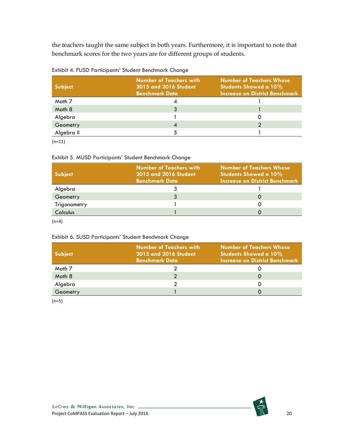the teachers taught the same subject in both years. Furthermore, it is important to note that benchmark scores for the two years are for different groups of students.

<span id="page-20-0"></span>

| <b>Subject</b> | <b>Number of Teachers with</b><br>2015 and 2016 Student<br><b>Benchmark Data</b> | <b>Number of Teachers Whose</b><br><b>Students Showed a 10%</b><br><b>Increase on District Benchmark</b> |
|----------------|----------------------------------------------------------------------------------|----------------------------------------------------------------------------------------------------------|
| Math 7         |                                                                                  |                                                                                                          |
| Math 8         |                                                                                  |                                                                                                          |
| Algebra        |                                                                                  |                                                                                                          |
| Geometry       |                                                                                  |                                                                                                          |
| Algebra II     |                                                                                  |                                                                                                          |

(n=11)

#### <span id="page-20-1"></span>Exhibit 5. MUSD Participants' Student Benchmark Change

| <b>Subject</b>  | <b>Number of Teachers with</b><br><b>2015 and 2016 Student</b><br><b>Benchmark Data</b> | <b>Number of Teachers Whose</b><br>Students Showed a 10%<br><b>Increase on District Benchmark</b> |
|-----------------|-----------------------------------------------------------------------------------------|---------------------------------------------------------------------------------------------------|
| Algebra         |                                                                                         |                                                                                                   |
| Geometry        |                                                                                         |                                                                                                   |
| Trigonometry    |                                                                                         |                                                                                                   |
| <b>Calculus</b> |                                                                                         |                                                                                                   |

 $(n=4)$ 

#### <span id="page-20-2"></span>Exhibit 6. SUSD Participants' Student Benchmark Change

| <b>Subject</b> | <b>Number of Teachers with</b><br><b>2015 and 2016 Student</b><br><b>Benchmark Data</b> | <b>Number of Teachers Whose</b><br>Students Showed a 10%<br><b>Increase on District Benchmark</b> |
|----------------|-----------------------------------------------------------------------------------------|---------------------------------------------------------------------------------------------------|
| Math 7         |                                                                                         |                                                                                                   |
| Math 8         |                                                                                         |                                                                                                   |
| Algebra        |                                                                                         |                                                                                                   |
| Geometry       |                                                                                         |                                                                                                   |

(n=5)

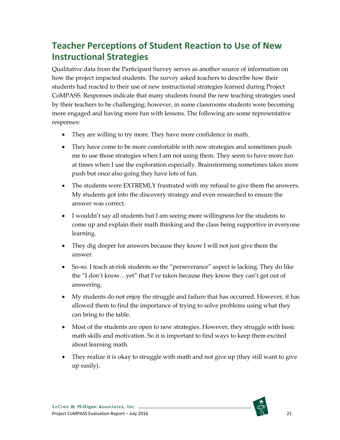### <span id="page-21-0"></span>**Teacher Perceptions of Student Reaction to Use of New Instructional Strategies**

Qualitative data from the Participant Survey serves as another source of information on how the project impacted students. The survey asked teachers to describe how their students had reacted to their use of new instructional strategies learned during Project CoMPASS. Responses indicate that many students found the new teaching strategies used by their teachers to be challenging; however, in some classrooms students were becoming more engaged and having more fun with lessons. The following are some representative responses:

- They are willing to try more. They have more confidence in math.
- They have come to be more comfortable with new strategies and sometimes push me to use those strategies when I am not using them. They seem to have more fun at times when I use the exploration especially. Brainstorming sometimes takes more push but once also going they have lots of fun.
- The students were EXTREMLY frustrated with my refusal to give them the answers. My students got into the discovery strategy and even researched to ensure the answer was correct.
- I wouldn't say all students but I am seeing more willingness for the students to come up and explain their math thinking and the class being supportive in everyone learning.
- They dig deeper for answers because they know I will not just give them the answer.
- So-so. I teach at-risk students so the "perseverance" aspect is lacking. They do like the "I don't know…yet" that I've taken because they know they can't get out of answering.
- My students do not enjoy the struggle and failure that has occurred. However, it has allowed them to find the importance of trying to solve problems using what they can bring to the table.
- Most of the students are open to new strategies. However, they struggle with basic math skills and motivation. So it is important to find ways to keep them excited about learning math.
- They realize it is okay to struggle with math and not give up (they still want to give up easily).

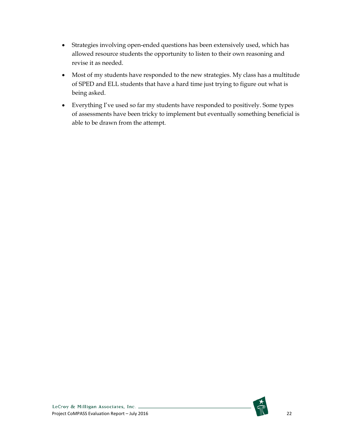- Strategies involving open-ended questions has been extensively used, which has allowed resource students the opportunity to listen to their own reasoning and revise it as needed.
- Most of my students have responded to the new strategies. My class has a multitude of SPED and ELL students that have a hard time just trying to figure out what is being asked.
- Everything I've used so far my students have responded to positively. Some types of assessments have been tricky to implement but eventually something beneficial is able to be drawn from the attempt.

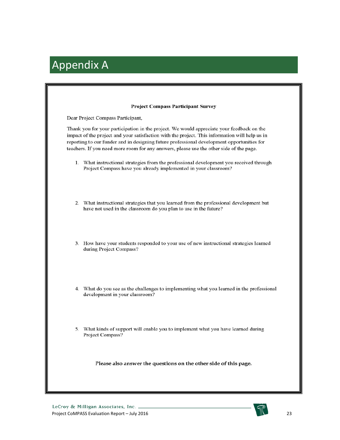# <span id="page-23-0"></span>Appendix A

| <b>Project Compass Participant Survey</b>                                                                                                                                                                                                                                                                                                                                            |
|--------------------------------------------------------------------------------------------------------------------------------------------------------------------------------------------------------------------------------------------------------------------------------------------------------------------------------------------------------------------------------------|
| Dear Project Compass Participant,                                                                                                                                                                                                                                                                                                                                                    |
| Thank you for your participation in the project. We would appreciate your feedback on the<br>impact of the project and your satisfaction with the project. This information will help us in<br>reporting to our funder and in designing future professional development opportunities for<br>teachers. If you need more room for any answers, please use the other side of the page. |
| 1. What instructional strategies from the professional development you received through<br>Project Compass have you already implemented in your classroom?                                                                                                                                                                                                                           |
| 2. What instructional strategies that you learned from the professional development but<br>have not used in the classroom do you plan to use in the future?                                                                                                                                                                                                                          |
| 3. How have your students responded to your use of new instructional strategies learned<br>during Project Compass?                                                                                                                                                                                                                                                                   |
| 4. What do you see as the challenges to implementing what you learned in the professional<br>development in your classroom?                                                                                                                                                                                                                                                          |
| 5. What kinds of support will enable you to implement what you have learned during<br>Project Compass?                                                                                                                                                                                                                                                                               |
| Please also answer the questions on the other side of this page.                                                                                                                                                                                                                                                                                                                     |

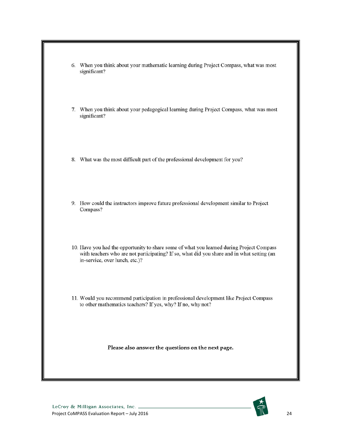| 6. When you think about your mathematic learning during Project Compass, what was most<br>significant?                                                                                                                    |
|---------------------------------------------------------------------------------------------------------------------------------------------------------------------------------------------------------------------------|
| 7. When you think about your pedagogical learning during Project Compass, what was most<br>significant?                                                                                                                   |
| 8. What was the most difficult part of the professional development for you?                                                                                                                                              |
| 9. How could the instructors improve future professional development similar to Project<br>Compass?                                                                                                                       |
| 10. Have you had the opportunity to share some of what you learned during Project Compass<br>with teachers who are not participating? If so, what did you share and in what setting (an<br>in-service, over lunch, etc.)? |
| 11. Would you recommend participation in professional development like Project Compass<br>to other mathematics teachers? If yes, why? If no, why not?                                                                     |
| Please also answer the questions on the next page.                                                                                                                                                                        |